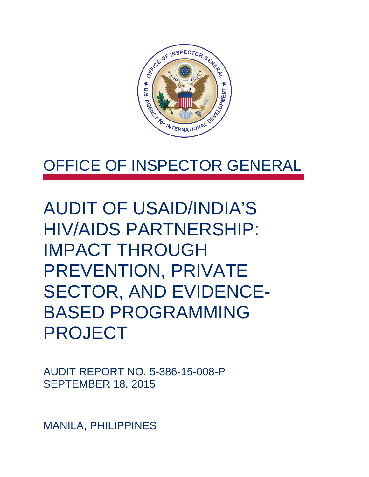

### OFFICE OF INSPECTOR GENERAL

AUDIT OF USAID/INDIA'S HIV/AIDS PARTNERSHIP: IMPACT THROUGH PREVENTION, PRIVATE SECTOR, AND EVIDENCE-BASED PROGRAMMING PROJECT

AUDIT REPORT NO. 5-386-15-008-P SEPTEMBER 18, 2015

MANILA, PHILIPPINES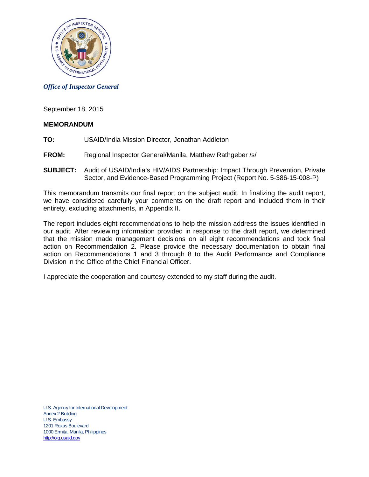

*Office of Inspector General*

September 18, 2015

#### **MEMORANDUM**

- **TO:** USAID/India Mission Director, Jonathan Addleton
- **FROM:** Regional Inspector General/Manila, Matthew Rathgeber /s/
- **SUBJECT:** Audit of USAID/India's HIV/AIDS Partnership: Impact Through Prevention, Private Sector, and Evidence-Based Programming Project (Report No. 5-386-15-008-P)

This memorandum transmits our final report on the subject audit. In finalizing the audit report, we have considered carefully your comments on the draft report and included them in their entirety, excluding attachments, in Appendix II.

The report includes eight recommendations to help the mission address the issues identified in our audit. After reviewing information provided in response to the draft report, we determined that the mission made management decisions on all eight recommendations and took final action on Recommendation 2. Please provide the necessary documentation to obtain final action on Recommendations 1 and 3 through 8 to the Audit Performance and Compliance Division in the Office of the Chief Financial Officer.

I appreciate the cooperation and courtesy extended to my staff during the audit.

U.S. Agency for International Development Annex 2 Building U.S. Embassy 1201 Roxas Boulevard 1000 Ermita, Manila, Philippines [http://oig.usaid.gov](http://oig.usaid.gov/)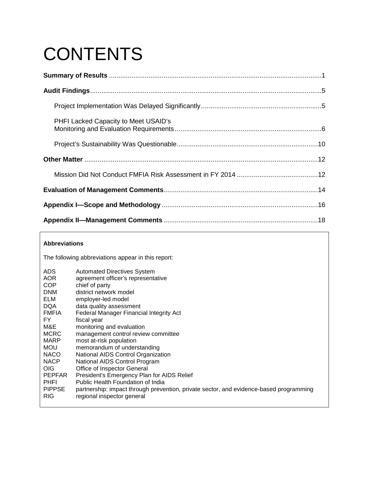# **CONTENTS**

| <b>PHFI Lacked Capacity to Meet USAID's</b> |  |
|---------------------------------------------|--|
|                                             |  |
|                                             |  |
|                                             |  |
|                                             |  |
|                                             |  |
|                                             |  |

#### **Abbreviations**

The following abbreviations appear in this report:

| ADS.          | <b>Automated Directives System</b>                                                     |
|---------------|----------------------------------------------------------------------------------------|
| <b>AOR</b>    | agreement officer's representative                                                     |
| <b>COP</b>    | chief of party                                                                         |
| <b>DNM</b>    | district network model                                                                 |
| ELM           | employer-led model                                                                     |
| <b>DQA</b>    | data quality assessment                                                                |
| <b>FMFIA</b>  | Federal Manager Financial Integrity Act                                                |
| FY.           | fiscal year                                                                            |
| M&E           | monitoring and evaluation                                                              |
| <b>MCRC</b>   | management control review committee                                                    |
| <b>MARP</b>   | most at-risk population                                                                |
| <b>MOU</b>    | memorandum of understanding                                                            |
| <b>NACO</b>   | National AIDS Control Organization                                                     |
| <b>NACP</b>   | National AIDS Control Program                                                          |
| <b>OIG</b>    | Office of Inspector General                                                            |
| <b>PEPFAR</b> | President's Emergency Plan for AIDS Relief                                             |
| <b>PHFI</b>   | Public Health Foundation of India                                                      |
| <b>PIPPSE</b> | partnership: impact through prevention, private sector, and evidence-based programming |
| <b>RIG</b>    | regional inspector general                                                             |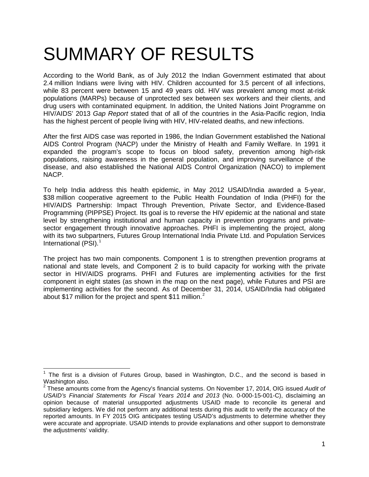# <span id="page-3-0"></span>SUMMARY OF RESULTS

According to the World Bank, as of July 2012 the Indian Government estimated that about 2.4 million Indians were living with HIV. Children accounted for 3.5 percent of all infections, while 83 percent were between 15 and 49 years old. HIV was prevalent among most at-risk populations (MARPs) because of unprotected sex between sex workers and their clients, and drug users with contaminated equipment. In addition, the United Nations Joint Programme on HIV/AIDS' 2013 *Gap Report* stated that of all of the countries in the Asia-Pacific region, India has the highest percent of people living with HIV, HIV-related deaths, and new infections.

After the first AIDS case was reported in 1986, the Indian Government established the National AIDS Control Program (NACP) under the Ministry of Health and Family Welfare. In 1991 it expanded the program's scope to focus on blood safety, prevention among high-risk populations, raising awareness in the general population, and improving surveillance of the disease, and also established the National AIDS Control Organization (NACO) to implement NACP.

To help India address this health epidemic, in May 2012 USAID/India awarded a 5-year, \$38 million cooperative agreement to the Public Health Foundation of India (PHFI) for the HIV/AIDS Partnership: Impact Through Prevention, Private Sector, and Evidence-Based Programming (PIPPSE) Project. Its goal is to reverse the HIV epidemic at the national and state level by strengthening institutional and human capacity in prevention programs and privatesector engagement through innovative approaches. PHFI is implementing the project, along with its two subpartners, Futures Group International India Private Ltd. and Population Services International (PSI).<sup>[1](#page-3-1)</sup>

The project has two main components. Component 1 is to strengthen prevention programs at national and state levels, and Component 2 is to build capacity for working with the private sector in HIV/AIDS programs. PHFI and Futures are implementing activities for the first component in eight states (as shown in the map on the next page), while Futures and PSI are implementing activities for the second. As of December 31, 2014, USAID/India had obligated about \$17 million for the project and spent \$11 million.<sup>[2](#page-3-2)</sup>

<span id="page-3-1"></span> $1$  The first is a division of Futures Group, based in Washington, D.C., and the second is based in Washington also.

<span id="page-3-2"></span><sup>2</sup> These amounts come from the Agency's financial systems. On November 17, 2014, OIG issued *Audit of USAID's Financial Statements for Fiscal Years 2014 and 2013* (No. 0-000-15-001-C), disclaiming an opinion because of material unsupported adjustments USAID made to reconcile its general and subsidiary ledgers. We did not perform any additional tests during this audit to verify the accuracy of the reported amounts. In FY 2015 OIG anticipates testing USAID's adjustments to determine whether they were accurate and appropriate. USAID intends to provide explanations and other support to demonstrate the adjustments' validity.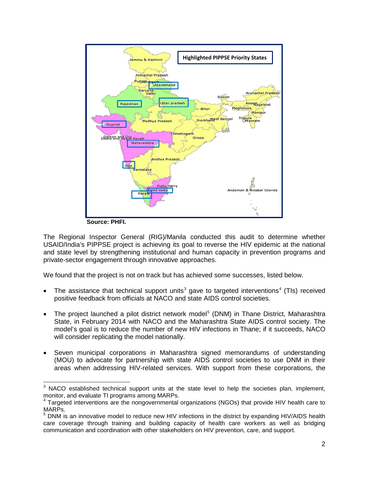

**Source: PHFI.**

The Regional Inspector General (RIG)/Manila conducted this audit to determine whether USAID/India's PIPPSE project is achieving its goal to reverse the HIV epidemic at the national and state level by strengthening institutional and human capacity in prevention programs and private-sector engagement through innovative approaches.

We found that the project is not on track but has achieved some successes, listed below.

- The assistance that technical support units<sup>[3](#page-4-0)</sup> gave to targeted interventions<sup>[4](#page-4-1)</sup> (TIs) received positive feedback from officials at NACO and state AIDS control societies.
- The project launched a pilot district network model<sup>[5](#page-4-2)</sup> (DNM) in Thane District, Maharashtra State, in February 2014 with NACO and the Maharashtra State AIDS control society. The model's goal is to reduce the number of new HIV infections in Thane; if it succeeds, NACO will consider replicating the model nationally.
- Seven municipal corporations in Maharashtra signed memorandums of understanding (MOU) to advocate for partnership with state AIDS control societies to use DNM in their areas when addressing HIV-related services. With support from these corporations, the

<span id="page-4-0"></span><sup>&</sup>lt;sup>3</sup> NACO established technical support units at the state level to help the societies plan, implement, monitor, and evaluate TI programs among MARPs.

<span id="page-4-1"></span><sup>&</sup>lt;sup>4</sup> Targeted interventions are the nongovernmental organizations (NGOs) that provide HIV health care to MARPs.

<span id="page-4-2"></span><sup>&</sup>lt;sup>5</sup> DNM is an innovative model to reduce new HIV infections in the district by expanding HIV/AIDS health care coverage through training and building capacity of health care workers as well as bridging communication and coordination with other stakeholders on HIV prevention, care, and support.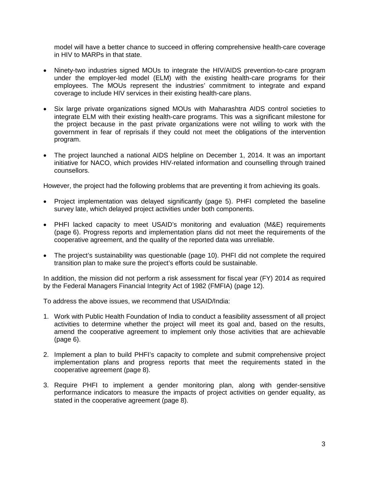model will have a better chance to succeed in offering comprehensive health-care coverage in HIV to MARPs in that state.

- Ninety-two industries signed MOUs to integrate the HIV/AIDS prevention-to-care program under the employer-led model (ELM) with the existing health-care programs for their employees. The MOUs represent the industries' commitment to integrate and expand coverage to include HIV services in their existing health-care plans.
- Six large private organizations signed MOUs with Maharashtra AIDS control societies to integrate ELM with their existing health-care programs. This was a significant milestone for the project because in the past private organizations were not willing to work with the government in fear of reprisals if they could not meet the obligations of the intervention program.
- The project launched a national AIDS helpline on December 1, 2014. It was an important initiative for NACO, which provides HIV-related information and counselling through trained counsellors.

However, the project had the following problems that are preventing it from achieving its goals.

- Project implementation was delayed significantly (page [5\)](#page-7-2). PHFI completed the baseline survey late, which delayed project activities under both components.
- PHFI lacked capacity to meet USAID's monitoring and evaluation (M&E) requirements (page [6\)](#page-8-0). Progress reports and implementation plans did not meet the requirements of the cooperative agreement, and the quality of the reported data was unreliable.
- The project's sustainability was questionable (page [10\)](#page-12-1). PHFI did not complete the required transition plan to make sure the project's efforts could be sustainable.

In addition, the mission did not perform a risk assessment for fiscal year (FY) 2014 as required by the Federal Managers Financial Integrity Act of 1982 (FMFIA) (page [12\)](#page-14-2).

To address the above issues, we recommend that USAID/India:

- 1. Work with Public Health Foundation of India to conduct a feasibility assessment of all project activities to determine whether the project will meet its goal and, based on the results, amend the cooperative agreement to implement only those activities that are achievable (page [6\)](#page-8-1).
- 2. Implement a plan to build PHFI's capacity to complete and submit comprehensive project implementation plans and progress reports that meet the requirements stated in the cooperative agreement (page [8\)](#page-10-0).
- 3. Require PHFI to implement a gender monitoring plan, along with gender-sensitive performance indicators to measure the impacts of project activities on gender equality, as stated in the cooperative agreement (page [8\)](#page-10-1).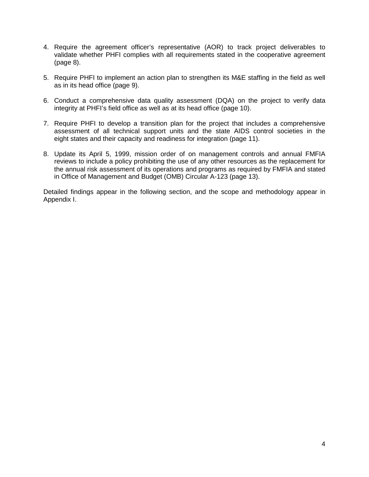- 4. Require the agreement officer's representative (AOR) to track project deliverables to validate whether PHFI complies with all requirements stated in the cooperative agreement (page [8\)](#page-10-2).
- 5. Require PHFI to implement an action plan to strengthen its M&E staffing in the field as well as in its head office (page [9\)](#page-11-0).
- 6. Conduct a comprehensive data quality assessment (DQA) on the project to verify data integrity at PHFI's field office as well as at its head office (page [10\)](#page-12-2).
- 7. Require PHFI to develop a transition plan for the project that includes a comprehensive assessment of all technical support units and the state AIDS control societies in the eight states and their capacity and readiness for integration (page [11\)](#page-13-0).
- 8. Update its April 5, 1999, mission order of on management controls and annual FMFIA reviews to include a policy prohibiting the use of any other resources as the replacement for the annual risk assessment of its operations and programs as required by FMFIA and stated in Office of Management and Budget (OMB) Circular A-123 (page [13\)](#page-15-1).

Detailed findings appear in the following section, and the scope and methodology appear in Appendix I.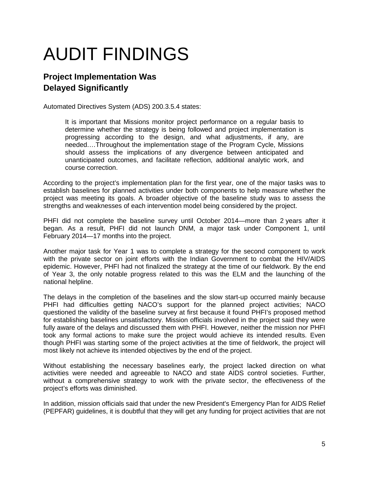# <span id="page-7-0"></span>AUDIT FINDINGS

### <span id="page-7-2"></span>**Project Implementation Was Delayed Significantly**

Automated Directives System (ADS) 200.3.5.4 states:

<span id="page-7-1"></span>It is important that Missions monitor project performance on a regular basis to determine whether the strategy is being followed and project implementation is progressing according to the design, and what adjustments, if any, are needed.…Throughout the implementation stage of the Program Cycle, Missions should assess the implications of any divergence between anticipated and unanticipated outcomes, and facilitate reflection, additional analytic work, and course correction.

According to the project's implementation plan for the first year, one of the major tasks was to establish baselines for planned activities under both components to help measure whether the project was meeting its goals. A broader objective of the baseline study was to assess the strengths and weaknesses of each intervention model being considered by the project.

PHFI did not complete the baseline survey until October 2014—more than 2 years after it began. As a result, PHFI did not launch DNM, a major task under Component 1, until February 2014—17 months into the project.

Another major task for Year 1 was to complete a strategy for the second component to work with the private sector on joint efforts with the Indian Government to combat the HIV/AIDS epidemic. However, PHFI had not finalized the strategy at the time of our fieldwork. By the end of Year 3, the only notable progress related to this was the ELM and the launching of the national helpline.

The delays in the completion of the baselines and the slow start-up occurred mainly because PHFI had difficulties getting NACO's support for the planned project activities; NACO questioned the validity of the baseline survey at first because it found PHFI's proposed method for establishing baselines unsatisfactory. Mission officials involved in the project said they were fully aware of the delays and discussed them with PHFI. However, neither the mission nor PHFI took any formal actions to make sure the project would achieve its intended results. Even though PHFI was starting some of the project activities at the time of fieldwork, the project will most likely not achieve its intended objectives by the end of the project.

Without establishing the necessary baselines early, the project lacked direction on what activities were needed and agreeable to NACO and state AIDS control societies. Further, without a comprehensive strategy to work with the private sector, the effectiveness of the project's efforts was diminished.

In addition, mission officials said that under the new President's Emergency Plan for AIDS Relief (PEPFAR) guidelines, it is doubtful that they will get any funding for project activities that are not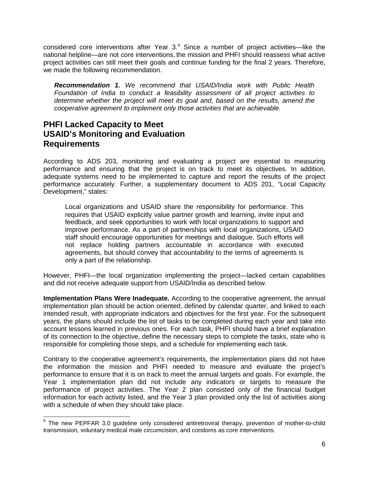considered core interventions after Year  $3.6$  $3.6$  Since a number of project activities—like the national helpline—are not core interventions, the mission and PHFI should reassess what active project activities can still meet their goals and continue funding for the final 2 years. Therefore, we made the following recommendation.

<span id="page-8-1"></span>*Recommendation 1. We recommend that USAID/India work with Public Health Foundation of India to conduct a feasibility assessment of all project activities to determine whether the project will meet its goal and, based on the results, amend the cooperative agreement to implement only those activities that are achievable.*

### <span id="page-8-0"></span>**PHFI Lacked Capacity to Meet USAID's Monitoring and Evaluation Requirements**

According to ADS 203, monitoring and evaluating a project are essential to measuring performance and ensuring that the project is on track to meet its objectives. In addition, adequate systems need to be implemented to capture and report the results of the project performance accurately. Further, a supplementary document to ADS 201, "Local Capacity Development," states:

Local organizations and USAID share the responsibility for performance. This requires that USAID explicitly value partner growth and learning, invite input and feedback, and seek opportunities to work with local organizations to support and improve performance. As a part of partnerships with local organizations, USAID staff should encourage opportunities for meetings and dialogue. Such efforts will not replace holding partners accountable in accordance with executed agreements, but should convey that accountability to the terms of agreements is only a part of the relationship.

However, PHFI—the local organization implementing the project—lacked certain capabilities and did not receive adequate support from USAID/India as described below.

**Implementation Plans Were Inadequate.** According to the cooperative agreement, the annual implementation plan should be action oriented, defined by calendar quarter, and linked to each intended result, with appropriate indicators and objectives for the first year. For the subsequent years, the plans should include the list of tasks to be completed during each year and take into account lessons learned in previous ones. For each task, PHFI should have a brief explanation of its connection to the objective, define the necessary steps to complete the tasks, state who is responsible for completing those steps, and a schedule for implementing each task.

Contrary to the cooperative agreement's requirements, the implementation plans did not have the information the mission and PHFI needed to measure and evaluate the project's performance to ensure that it is on track to meet the annual targets and goals. For example, the Year 1 implementation plan did not include any indicators or targets to measure the performance of project activities. The Year 2 plan consisted only of the financial budget information for each activity listed, and the Year 3 plan provided only the list of activities along with a schedule of when they should take place.

<span id="page-8-2"></span><sup>&</sup>lt;sup>6</sup> The new PEPFAR 3.0 guideline only considered antiretroviral therapy, prevention of mother-to-child transmission, voluntary medical male circumcision, and condoms as core interventions.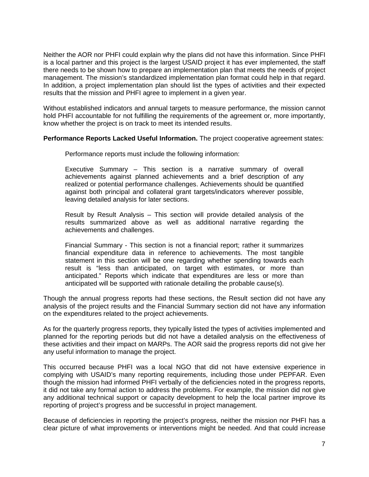Neither the AOR nor PHFI could explain why the plans did not have this information. Since PHFI is a local partner and this project is the largest USAID project it has ever implemented, the staff there needs to be shown how to prepare an implementation plan that meets the needs of project management. The mission's standardized implementation plan format could help in that regard. In addition, a project implementation plan should list the types of activities and their expected results that the mission and PHFI agree to implement in a given year.

Without established indicators and annual targets to measure performance, the mission cannot hold PHFI accountable for not fulfilling the requirements of the agreement or, more importantly, know whether the project is on track to meet its intended results.

#### **Performance Reports Lacked Useful Information.** The project cooperative agreement states:

Performance reports must include the following information:

Executive Summary – This section is a narrative summary of overall achievements against planned achievements and a brief description of any realized or potential performance challenges. Achievements should be quantified against both principal and collateral grant targets/indicators wherever possible, leaving detailed analysis for later sections.

Result by Result Analysis – This section will provide detailed analysis of the results summarized above as well as additional narrative regarding the achievements and challenges.

Financial Summary - This section is not a financial report; rather it summarizes financial expenditure data in reference to achievements. The most tangible statement in this section will be one regarding whether spending towards each result is "less than anticipated, on target with estimates, or more than anticipated." Reports which indicate that expenditures are less or more than anticipated will be supported with rationale detailing the probable cause(s).

Though the annual progress reports had these sections, the Result section did not have any analysis of the project results and the Financial Summary section did not have any information on the expenditures related to the project achievements.

As for the quarterly progress reports, they typically listed the types of activities implemented and planned for the reporting periods but did not have a detailed analysis on the effectiveness of these activities and their impact on MARPs. The AOR said the progress reports did not give her any useful information to manage the project.

This occurred because PHFI was a local NGO that did not have extensive experience in complying with USAID's many reporting requirements, including those under PEPFAR. Even though the mission had informed PHFI verbally of the deficiencies noted in the progress reports, it did not take any formal action to address the problems. For example, the mission did not give any additional technical support or capacity development to help the local partner improve its reporting of project's progress and be successful in project management.

Because of deficiencies in reporting the project's progress, neither the mission nor PHFI has a clear picture of what improvements or interventions might be needed. And that could increase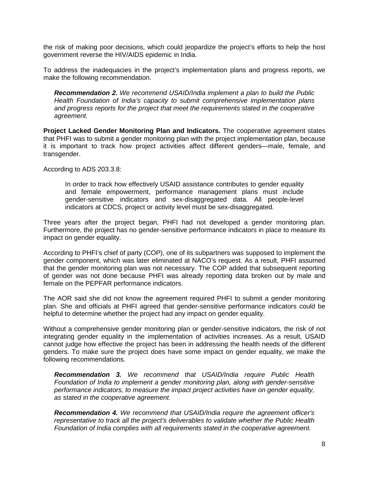the risk of making poor decisions, which could jeopardize the project's efforts to help the host government reverse the HIV/AIDS epidemic in India.

To address the inadequacies in the project's implementation plans and progress reports, we make the following recommendation.

<span id="page-10-0"></span>*Recommendation 2. We recommend USAID/India implement a plan to build the Public Health Foundation of India's capacity to submit comprehensive implementation plans and progress reports for the project that meet the requirements stated in the cooperative agreement.*

**Project Lacked Gender Monitoring Plan and Indicators.** The cooperative agreement states that PHFI was to submit a gender monitoring plan with the project implementation plan, because it is important to track how project activities affect different genders—male, female, and transgender.

According to ADS 203.3.8:

In order to track how effectively USAID assistance contributes to gender equality and female empowerment, performance management plans must include gender-sensitive indicators and sex-disaggregated data. All people-level indicators at CDCS, project or activity level must be sex-disaggregated.

Three years after the project began, PHFI had not developed a gender monitoring plan. Furthermore, the project has no gender-sensitive performance indicators in place to measure its impact on gender equality.

According to PHFI's chief of party (COP), one of its subpartners was supposed to implement the gender component, which was later eliminated at NACO's request. As a result, PHFI assumed that the gender monitoring plan was not necessary. The COP added that subsequent reporting of gender was not done because PHFI was already reporting data broken out by male and female on the PEPFAR performance indicators.

The AOR said she did not know the agreement required PHFI to submit a gender monitoring plan. She and officials at PHFI agreed that gender-sensitive performance indicators could be helpful to determine whether the project had any impact on gender equality.

Without a comprehensive gender monitoring plan or gender-sensitive indicators, the risk of not integrating gender equality in the implementation of activities increases. As a result, USAID cannot judge how effective the project has been in addressing the health needs of the different genders. To make sure the project does have some impact on gender equality, we make the following recommendations.

<span id="page-10-1"></span>*Recommendation 3. We recommend that USAID/India require Public Health Foundation of India to implement a gender monitoring plan, along with gender-sensitive performance indicators, to measure the impact project activities have on gender equality, as stated in the cooperative agreement.*

<span id="page-10-2"></span>*Recommendation 4. We recommend that USAID/India require the agreement officer's representative to track all the project's deliverables to validate whether the Public Health Foundation of India complies with all requirements stated in the cooperative agreement.*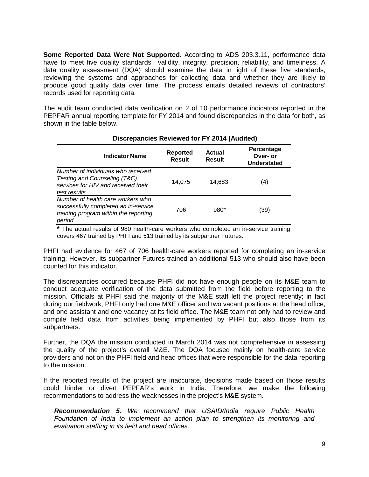**Some Reported Data Were Not Supported.** According to ADS 203.3.11, performance data have to meet five quality standards—validity, integrity, precision, reliability, and timeliness. A data quality assessment (DQA) should examine the data in light of these five standards, reviewing the systems and approaches for collecting data and whether they are likely to produce good quality data over time. The process entails detailed reviews of contractors' records used for reporting data.

The audit team conducted data verification on 2 of 10 performance indicators reported in the PEPFAR annual reporting template for FY 2014 and found discrepancies in the data for both, as shown in the table below.

| <b>Indicator Name</b>                                                                                                        | Reported<br><b>Result</b> | <b>Actual</b><br><b>Result</b> | Percentage<br>Over- or<br><b>Understated</b> |
|------------------------------------------------------------------------------------------------------------------------------|---------------------------|--------------------------------|----------------------------------------------|
| Number of individuals who received<br>Testing and Counseling (T&C)<br>services for HIV and received their<br>test results    | 14.075                    | 14.683                         | (4)                                          |
| Number of health care workers who<br>successfully completed an in-service<br>training program within the reporting<br>period | 706                       | $980*$                         | (39)                                         |

#### **Discrepancies Reviewed for FY 2014 (Audited)**

**\*** The actual results of 980 health-care workers who completed an in-service training covers 467 trained by PHFI and 513 trained by its subpartner Futures.

PHFI had evidence for 467 of 706 health-care workers reported for completing an in-service training. However, its subpartner Futures trained an additional 513 who should also have been counted for this indicator.

The discrepancies occurred because PHFI did not have enough people on its M&E team to conduct adequate verification of the data submitted from the field before reporting to the mission. Officials at PHFI said the majority of the M&E staff left the project recently; in fact during our fieldwork, PHFI only had one M&E officer and two vacant positions at the head office, and one assistant and one vacancy at its field office. The M&E team not only had to review and compile field data from activities being implemented by PHFI but also those from its subpartners.

Further, the DQA the mission conducted in March 2014 was not comprehensive in assessing the quality of the project's overall M&E. The DQA focused mainly on health-care service providers and not on the PHFI field and head offices that were responsible for the data reporting to the mission.

If the reported results of the project are inaccurate, decisions made based on those results could hinder or divert PEPFAR's work in India. Therefore, we make the following recommendations to address the weaknesses in the project's M&E system.

<span id="page-11-0"></span>*Recommendation 5. We recommend that USAID/India require Public Health Foundation of India to implement an action plan to strengthen its monitoring and evaluation staffing in its field and head offices.*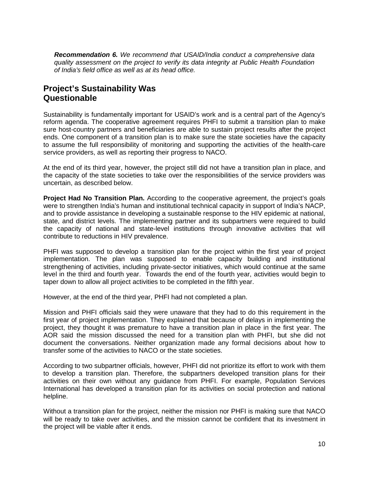<span id="page-12-2"></span><span id="page-12-0"></span>*Recommendation 6. We recommend that USAID/India conduct a comprehensive data quality assessment on the project to verify its data integrity at Public Health Foundation of India's field office as well as at its head office.*

### <span id="page-12-1"></span>**Project's Sustainability Was Questionable**

Sustainability is fundamentally important for USAID's work and is a central part of the Agency's reform agenda. The cooperative agreement requires PHFI to submit a transition plan to make sure host-country partners and beneficiaries are able to sustain project results after the project ends. One component of a transition plan is to make sure the state societies have the capacity to assume the full responsibility of monitoring and supporting the activities of the health-care service providers, as well as reporting their progress to NACO.

At the end of its third year, however, the project still did not have a transition plan in place, and the capacity of the state societies to take over the responsibilities of the service providers was uncertain, as described below.

**Project Had No Transition Plan.** According to the cooperative agreement, the project's goals were to strengthen India's human and institutional technical capacity in support of India's NACP, and to provide assistance in developing a sustainable response to the HIV epidemic at national, state, and district levels. The implementing partner and its subpartners were required to build the capacity of national and state-level institutions through innovative activities that will contribute to reductions in HIV prevalence.

PHFI was supposed to develop a transition plan for the project within the first year of project implementation. The plan was supposed to enable capacity building and institutional strengthening of activities, including private-sector initiatives, which would continue at the same level in the third and fourth year. Towards the end of the fourth year, activities would begin to taper down to allow all project activities to be completed in the fifth year.

However, at the end of the third year, PHFI had not completed a plan.

Mission and PHFI officials said they were unaware that they had to do this requirement in the first year of project implementation. They explained that because of delays in implementing the project, they thought it was premature to have a transition plan in place in the first year. The AOR said the mission discussed the need for a transition plan with PHFI, but she did not document the conversations. Neither organization made any formal decisions about how to transfer some of the activities to NACO or the state societies.

According to two subpartner officials, however, PHFI did not prioritize its effort to work with them to develop a transition plan. Therefore, the subpartners developed transition plans for their activities on their own without any guidance from PHFI. For example, Population Services International has developed a transition plan for its activities on social protection and national helpline.

Without a transition plan for the project, neither the mission nor PHFI is making sure that NACO will be ready to take over activities, and the mission cannot be confident that its investment in the project will be viable after it ends.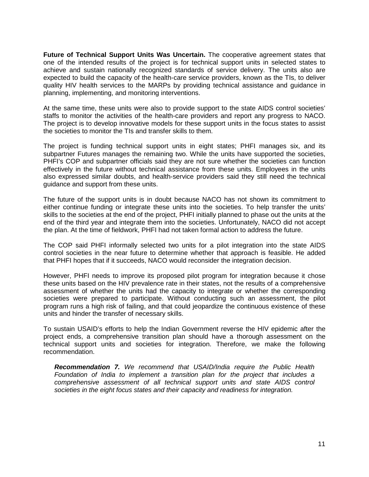**Future of Technical Support Units Was Uncertain.** The cooperative agreement states that one of the intended results of the project is for technical support units in selected states to achieve and sustain nationally recognized standards of service delivery. The units also are expected to build the capacity of the health-care service providers, known as the TIs, to deliver quality HIV health services to the MARPs by providing technical assistance and guidance in planning, implementing, and monitoring interventions.

At the same time, these units were also to provide support to the state AIDS control societies' staffs to monitor the activities of the health-care providers and report any progress to NACO. The project is to develop innovative models for these support units in the focus states to assist the societies to monitor the TIs and transfer skills to them.

The project is funding technical support units in eight states; PHFI manages six, and its subpartner Futures manages the remaining two. While the units have supported the societies, PHFI's COP and subpartner officials said they are not sure whether the societies can function effectively in the future without technical assistance from these units. Employees in the units also expressed similar doubts, and health-service providers said they still need the technical guidance and support from these units.

The future of the support units is in doubt because NACO has not shown its commitment to either continue funding or integrate these units into the societies. To help transfer the units' skills to the societies at the end of the project, PHFI initially planned to phase out the units at the end of the third year and integrate them into the societies. Unfortunately, NACO did not accept the plan. At the time of fieldwork, PHFI had not taken formal action to address the future.

The COP said PHFI informally selected two units for a pilot integration into the state AIDS control societies in the near future to determine whether that approach is feasible. He added that PHFI hopes that if it succeeds, NACO would reconsider the integration decision.

However, PHFI needs to improve its proposed pilot program for integration because it chose these units based on the HIV prevalence rate in their states, not the results of a comprehensive assessment of whether the units had the capacity to integrate or whether the corresponding societies were prepared to participate. Without conducting such an assessment, the pilot program runs a high risk of failing, and that could jeopardize the continuous existence of these units and hinder the transfer of necessary skills.

To sustain USAID's efforts to help the Indian Government reverse the HIV epidemic after the project ends, a comprehensive transition plan should have a thorough assessment on the technical support units and societies for integration. Therefore, we make the following recommendation.

<span id="page-13-0"></span>*Recommendation 7. We recommend that USAID/India require the Public Health Foundation of India to implement a transition plan for the project that includes a comprehensive assessment of all technical support units and state AIDS control societies in the eight focus states and their capacity and readiness for integration.*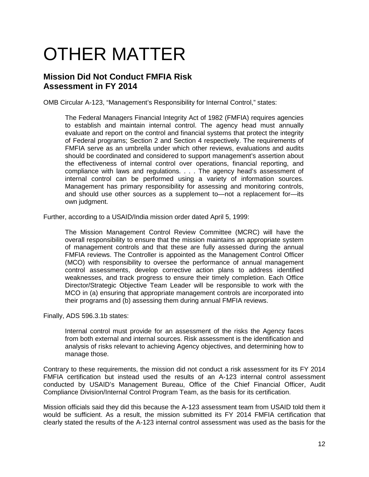# OTHER MATTER

### <span id="page-14-2"></span><span id="page-14-1"></span>**Mission Did Not Conduct FMFIA Risk Assessment in FY 2014**

OMB Circular A-123, "Management's Responsibility for Internal Control," states:

<span id="page-14-0"></span>The Federal Managers Financial Integrity Act of 1982 (FMFIA) requires agencies to establish and maintain internal control. The agency head must annually evaluate and report on the control and financial systems that protect the integrity of Federal programs; Section 2 and Section 4 respectively. The requirements of FMFIA serve as an umbrella under which other reviews, evaluations and audits should be coordinated and considered to support management's assertion about the effectiveness of internal control over operations, financial reporting, and compliance with laws and regulations. . . . The agency head's assessment of internal control can be performed using a variety of information sources. Management has primary responsibility for assessing and monitoring controls, and should use other sources as a supplement to—not a replacement for—its own judgment.

Further, according to a USAID/India mission order dated April 5, 1999:

The Mission Management Control Review Committee (MCRC) will have the overall responsibility to ensure that the mission maintains an appropriate system of management controls and that these are fully assessed during the annual FMFIA reviews. The Controller is appointed as the Management Control Officer (MCO) with responsibility to oversee the performance of annual management control assessments, develop corrective action plans to address identified weaknesses, and track progress to ensure their timely completion. Each Office Director/Strategic Objective Team Leader will be responsible to work with the MCO in (a) ensuring that appropriate management controls are incorporated into their programs and (b) assessing them during annual FMFIA reviews.

Finally, ADS 596.3.1b states:

Internal control must provide for an assessment of the risks the Agency faces from both external and internal sources. Risk assessment is the identification and analysis of risks relevant to achieving Agency objectives, and determining how to manage those.

Contrary to these requirements, the mission did not conduct a risk assessment for its FY 2014 FMFIA certification but instead used the results of an A-123 internal control assessment conducted by USAID's Management Bureau, Office of the Chief Financial Officer, Audit Compliance Division/Internal Control Program Team, as the basis for its certification.

Mission officials said they did this because the A-123 assessment team from USAID told them it would be sufficient. As a result, the mission submitted its FY 2014 FMFIA certification that clearly stated the results of the A-123 internal control assessment was used as the basis for the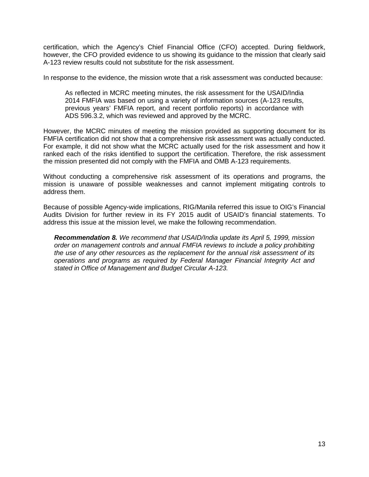certification, which the Agency's Chief Financial Office (CFO) accepted. During fieldwork, however, the CFO provided evidence to us showing its guidance to the mission that clearly said A-123 review results could not substitute for the risk assessment.

In response to the evidence, the mission wrote that a risk assessment was conducted because:

As reflected in MCRC meeting minutes, the risk assessment for the USAID/India 2014 FMFIA was based on using a variety of information sources (A-123 results, previous years' FMFIA report, and recent portfolio reports) in accordance with ADS 596.3.2, which was reviewed and approved by the MCRC.

However, the MCRC minutes of meeting the mission provided as supporting document for its FMFIA certification did not show that a comprehensive risk assessment was actually conducted. For example, it did not show what the MCRC actually used for the risk assessment and how it ranked each of the risks identified to support the certification. Therefore, the risk assessment the mission presented did not comply with the FMFIA and OMB A-123 requirements.

Without conducting a comprehensive risk assessment of its operations and programs, the mission is unaware of possible weaknesses and cannot implement mitigating controls to address them.

Because of possible Agency-wide implications, RIG/Manila referred this issue to OIG's Financial Audits Division for further review in its FY 2015 audit of USAID's financial statements. To address this issue at the mission level, we make the following recommendation.

<span id="page-15-1"></span><span id="page-15-0"></span>*Recommendation 8. We recommend that USAID/India update its April 5, 1999, mission order on management controls and annual FMFIA reviews to include a policy prohibiting the use of any other resources as the replacement for the annual risk assessment of its operations and programs as required by Federal Manager Financial Integrity Act and stated in Office of Management and Budget Circular A-123.*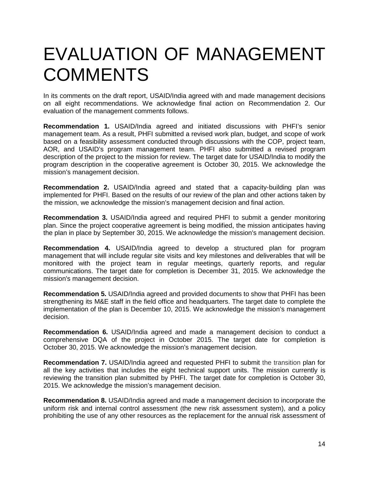## EVALUATION OF MANAGEMENT **COMMENTS**

In its comments on the draft report, USAID/India agreed with and made management decisions on all eight recommendations. We acknowledge final action on Recommendation 2. Our evaluation of the management comments follows.

**Recommendation 1.** USAID/India agreed and initiated discussions with PHFI's senior management team. As a result, PHFI submitted a revised work plan, budget, and scope of work based on a feasibility assessment conducted through discussions with the COP, project team, AOR, and USAID's program management team. PHFI also submitted a revised program description of the project to the mission for review. The target date for USAID/India to modify the program description in the cooperative agreement is October 30, 2015. We acknowledge the mission's management decision.

**Recommendation 2.** USAID/India agreed and stated that a capacity-building plan was implemented for PHFI. Based on the results of our review of the plan and other actions taken by the mission, we acknowledge the mission's management decision and final action.

**Recommendation 3.** USAID/India agreed and required PHFI to submit a gender monitoring plan. Since the project cooperative agreement is being modified, the mission anticipates having the plan in place by September 30, 2015. We acknowledge the mission's management decision.

**Recommendation 4.** USAID/India agreed to develop a structured plan for program management that will include regular site visits and key milestones and deliverables that will be monitored with the project team in regular meetings, quarterly reports, and regular communications. The target date for completion is December 31, 2015. We acknowledge the mission's management decision.

**Recommendation 5.** USAID/India agreed and provided documents to show that PHFI has been strengthening its M&E staff in the field office and headquarters. The target date to complete the implementation of the plan is December 10, 2015. We acknowledge the mission's management decision.

**Recommendation 6.** USAID/India agreed and made a management decision to conduct a comprehensive DQA of the project in October 2015. The target date for completion is October 30, 2015. We acknowledge the mission's management decision.

**Recommendation 7.** USAID/India agreed and requested PHFI to submit the transition plan for all the key activities that includes the eight technical support units. The mission currently is reviewing the transition plan submitted by PHFI. The target date for completion is October 30, 2015. We acknowledge the mission's management decision.

**Recommendation 8.** USAID/India agreed and made a management decision to incorporate the uniform risk and internal control assessment (the new risk assessment system), and a policy prohibiting the use of any other resources as the replacement for the annual risk assessment of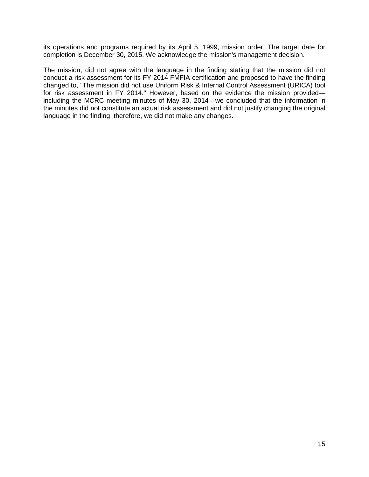its operations and programs required by its April 5, 1999, mission order. The target date for completion is December 30, 2015. We acknowledge the mission's management decision.

The mission, did not agree with the language in the finding stating that the mission did not conduct a risk assessment for its FY 2014 FMFIA certification and proposed to have the finding changed to, "The mission did not use Uniform Risk & Internal Control Assessment (URICA) tool for risk assessment in FY 2014." However, based on the evidence the mission provided including the MCRC meeting minutes of May 30, 2014—we concluded that the information in the minutes did not constitute an actual risk assessment and did not justify changing the original language in the finding; therefore, we did not make any changes.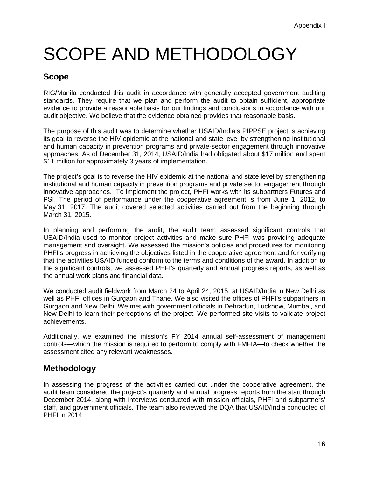# <span id="page-18-0"></span>SCOPE AND METHODOLOGY

### **Scope**

RIG/Manila conducted this audit in accordance with generally accepted government auditing standards. They require that we plan and perform the audit to obtain sufficient, appropriate evidence to provide a reasonable basis for our findings and conclusions in accordance with our audit objective. We believe that the evidence obtained provides that reasonable basis.

The purpose of this audit was to determine whether USAID/India's PIPPSE project is achieving its goal to reverse the HIV epidemic at the national and state level by strengthening institutional and human capacity in prevention programs and private-sector engagement through innovative approaches. As of December 31, 2014, USAID/India had obligated about \$17 million and spent \$11 million for approximately 3 years of implementation.

The project's goal is to reverse the HIV epidemic at the national and state level by strengthening institutional and human capacity in prevention programs and private sector engagement through innovative approaches. To implement the project, PHFI works with its subpartners Futures and PSI. The period of performance under the cooperative agreement is from June 1, 2012, to May 31, 2017. The audit covered selected activities carried out from the beginning through March 31. 2015.

In planning and performing the audit, the audit team assessed significant controls that USAID/India used to monitor project activities and make sure PHFI was providing adequate management and oversight. We assessed the mission's policies and procedures for monitoring PHFI's progress in achieving the objectives listed in the cooperative agreement and for verifying that the activities USAID funded conform to the terms and conditions of the award. In addition to the significant controls, we assessed PHFI's quarterly and annual progress reports, as well as the annual work plans and financial data.

We conducted audit fieldwork from March 24 to April 24, 2015, at USAID/India in New Delhi as well as PHFI offices in Gurgaon and Thane. We also visited the offices of PHFI's subpartners in Gurgaon and New Delhi. We met with government officials in Dehradun, Lucknow, Mumbai, and New Delhi to learn their perceptions of the project. We performed site visits to validate project achievements.

Additionally, we examined the mission's FY 2014 annual self-assessment of management controls—which the mission is required to perform to comply with FMFIA—to check whether the assessment cited any relevant weaknesses.

### **Methodology**

In assessing the progress of the activities carried out under the cooperative agreement, the audit team considered the project's quarterly and annual progress reports from the start through December 2014, along with interviews conducted with mission officials, PHFI and subpartners' staff, and government officials. The team also reviewed the DQA that USAID/India conducted of PHFI in 2014.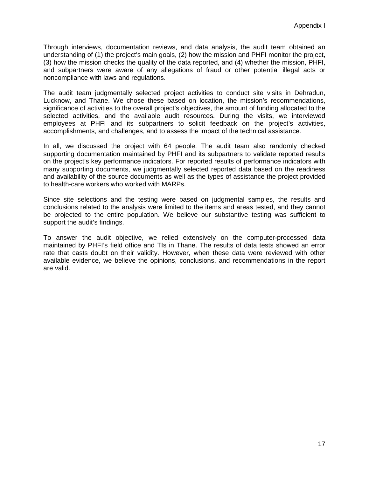Through interviews, documentation reviews, and data analysis, the audit team obtained an understanding of (1) the project's main goals, (2) how the mission and PHFI monitor the project, (3) how the mission checks the quality of the data reported, and (4) whether the mission, PHFI, and subpartners were aware of any allegations of fraud or other potential illegal acts or noncompliance with laws and regulations.

The audit team judgmentally selected project activities to conduct site visits in Dehradun, Lucknow, and Thane. We chose these based on location, the mission's recommendations, significance of activities to the overall project's objectives, the amount of funding allocated to the selected activities, and the available audit resources. During the visits, we interviewed employees at PHFI and its subpartners to solicit feedback on the project's activities, accomplishments, and challenges, and to assess the impact of the technical assistance.

In all, we discussed the project with 64 people. The audit team also randomly checked supporting documentation maintained by PHFI and its subpartners to validate reported results on the project's key performance indicators. For reported results of performance indicators with many supporting documents, we judgmentally selected reported data based on the readiness and availability of the source documents as well as the types of assistance the project provided to health-care workers who worked with MARPs.

Since site selections and the testing were based on judgmental samples, the results and conclusions related to the analysis were limited to the items and areas tested, and they cannot be projected to the entire population. We believe our substantive testing was sufficient to support the audit's findings.

To answer the audit objective, we relied extensively on the computer-processed data maintained by PHFI's field office and TIs in Thane. The results of data tests showed an error rate that casts doubt on their validity. However, when these data were reviewed with other available evidence, we believe the opinions, conclusions, and recommendations in the report are valid.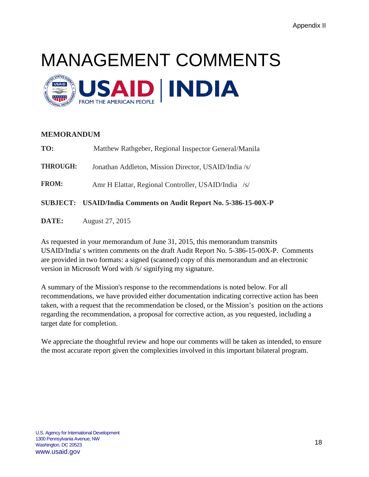# <span id="page-20-0"></span>MANAGEMENT COMMENTS



#### **MEMORANDUM**

|                 | SUBJECT: USAID/India Comments on Audit Report No. 5-386-15-00X-P |
|-----------------|------------------------------------------------------------------|
| <b>FROM:</b>    | Amr H Elattar, Regional Controller, USAID/India /s/              |
| <b>THROUGH:</b> | Jonathan Addleton, Mission Director, USAID/India /s/             |
| TO:             | Matthew Rathgeber, Regional Inspector General/Manila             |

**DATE:** August 27, 2015

As requested in your memorandum of June 31, 2015, this memorandum transmits USAID/India' s written comments on the draft Audit Report No. 5-386-15-00X-P. Comments are provided in two formats: a signed (scanned) copy of this memorandum and an electronic version in Microsoft Word with /s/ signifying my signature.

A summary of the Mission's response to the recommendations is noted below. For all recommendations, we have provided either documentation indicating corrective action has been taken, with a request that the recommendation be closed, or the Mission's position on the actions regarding the recommendation, a proposal for corrective action, as you requested, including a target date for completion.

We appreciate the thoughtful review and hope our comments will be taken as intended, to ensure the most accurate report given the complexities involved in this important bilateral program.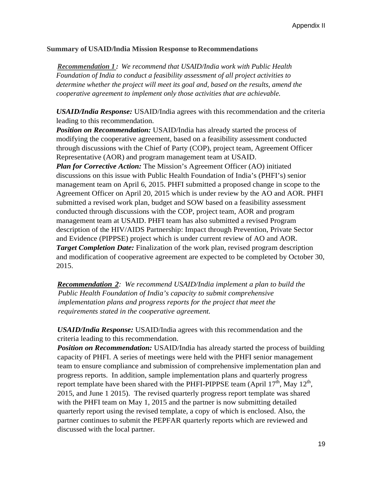#### **Summary** of **USAID/India** Mission Response to Recommendations

*Recommendation 1 : We recommend that USAID/India work with Public Health Foundation of India to conduct a feasibility assessment of all project activities to determine whether the project will meet its goal and, based on the results, amend the cooperative agreement to implement only those activities that are achievable.*

*USAID/India Response:* USAID/India agrees with this recommendation and the criteria leading to this recommendation.

*Position on Recommendation:* USAID/India has already started the process of modifying the cooperative agreement, based on a feasibility assessment conducted through discussions with the Chief of Party (COP), project team, Agreement Officer Representative (AOR) and program management team at USAID.

*Plan for Corrective Action:* The Mission's Agreement Officer (AO) initiated discussions on this issue with Public Health Foundation of India's (PHFI's) senior management team on April 6, 2015. PHFI submitted a proposed change in scope to the Agreement Officer on April 20, 2015 which is under review by the AO and AOR. PHFI submitted a revised work plan, budget and SOW based on a feasibility assessment conducted through discussions with the COP, project team, AOR and program management team at USAID. PHFI team has also submitted a revised Program description of the HIV/AIDS Partnership: Impact through Prevention, Private Sector and Evidence (PIPPSE) project which is under current review of AO and AOR. **Target Completion Date:** Finalization of the work plan, revised program description and modification of cooperative agreement are expected to be completed by October 30, 2015.

*Recommendation 2: We recommend USAID/India implement a plan to build the Public Health Foundation of India's capacity to submit comprehensive implementation plans and progress reports for the project that meet the requirements stated in the cooperative agreement.*

*USAID/India Response:* USAID/India agrees with this recommendation and the criteria leading to this recommendation.

*Position on Recommendation:* USAID/India has already started the process of building capacity of PHFI. A series of meetings were held with the PHFI senior management team to ensure compliance and submission of comprehensive implementation plan and progress reports. In addition, sample implementation plans and quarterly progress report template have been shared with the PHFI-PIPPSE team (April  $17<sup>th</sup>$ , May  $12<sup>th</sup>$ , 2015, and June 1 2015). The revised quarterly progress report template was shared with the PHFI team on May 1, 2015 and the partner is now submitting detailed quarterly report using the revised template, a copy of which is enclosed. Also, the partner continues to submit the PEPFAR quarterly reports which are reviewed and discussed with the local partner.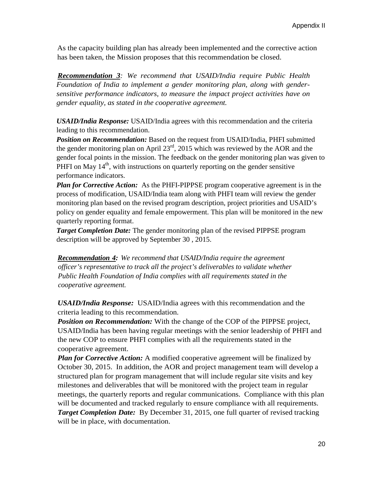As the capacity building plan has already been implemented and the corrective action has been taken, the Mission proposes that this recommendation be closed.

*Recommendation 3: We recommend that USAID/India require Public Health Foundation of India to implement a gender monitoring plan, along with gendersensitive performance indicators, to measure the impact project activities have on gender equality, as stated in the cooperative agreement.*

*USAID/India Response:* USAID/India agrees with this recommendation and the criteria leading to this recommendation.

*Position on Recommendation:* Based on the request from USAID/India, PHFI submitted the gender monitoring plan on April  $23<sup>rd</sup>$ , 2015 which was reviewed by the AOR and the gender focal points in the mission. The feedback on the gender monitoring plan was given to PHFI on May  $14<sup>th</sup>$ , with instructions on quarterly reporting on the gender sensitive performance indicators.

*Plan for Corrective Action:* As the PHFI-PIPPSE program cooperative agreement is in the process of modification, USAID/India team along with PHFI team will review the gender monitoring plan based on the revised program description, project priorities and USAID's policy on gender equality and female empowerment. This plan will be monitored in the new quarterly reporting format.

*Target Completion Date:* The gender monitoring plan of the revised PIPPSE program description will be approved by September 30 , 2015.

*Recommendation 4: We recommend that USAID/India require the agreement officer's representative to track all the project's deliverables to validate whether Public Health Foundation of India complies with all requirements stated in the cooperative agreement.*

*USAID/India Response:* USAID/India agrees with this recommendation and the criteria leading to this recommendation.

*Position on Recommendation:* With the change of the COP of the PIPPSE project, USAID/India has been having regular meetings with the senior leadership of PHFI and the new COP to ensure PHFI complies with all the requirements stated in the cooperative agreement.

*Plan for Corrective Action:* A modified cooperative agreement will be finalized by October 30, 2015. In addition, the AOR and project management team will develop a structured plan for program management that will include regular site visits and key milestones and deliverables that will be monitored with the project team in regular meetings, the quarterly reports and regular communications. Compliance with this plan will be documented and tracked regularly to ensure compliance with all requirements. **Target Completion Date:** By December 31, 2015, one full quarter of revised tracking will be in place, with documentation.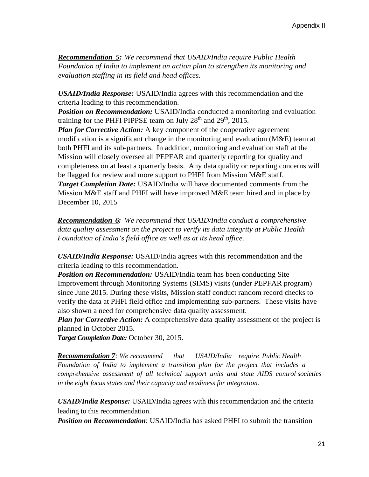*Recommendation 5: We recommend that USAID/India require Public Health Foundation of India to implement an action plan to strengthen its monitoring and evaluation staffing in its field and head offices.*

*USAID/India Response:* USAID/India agrees with this recommendation and the criteria leading to this recommendation.

*Position on Recommendation:* USAID/India conducted a monitoring and evaluation training for the PHFI PIPPSE team on July  $28<sup>th</sup>$  and  $29<sup>th</sup>$ , 2015.

*Plan for Corrective Action:* A key component of the cooperative agreement modification is a significant change in the monitoring and evaluation (M&E) team at both PHFI and its sub-partners. In addition, monitoring and evaluation staff at the Mission will closely oversee all PEPFAR and quarterly reporting for quality and completeness on at least a quarterly basis. Any data quality or reporting concerns will be flagged for review and more support to PHFI from Mission M&E staff. *Target Completion Date:* USAID/India will have documented comments from the Mission M&E staff and PHFI will have improved M&E team hired and in place by

December 10, 2015

*Recommendation 6: We recommend that USAID/India conduct a comprehensive data quality assessment on the project to verify its data integrity at Public Health Foundation of India's field office as well as at its head office.*

*USAID/India Response:* USAID/India agrees with this recommendation and the criteria leading to this recommendation.

*Position on Recommendation:* USAID/India team has been conducting Site Improvement through Monitoring Systems (SIMS) visits (under PEPFAR program) since June 2015. During these visits, Mission staff conduct random record checks to verify the data at PHFI field office and implementing sub-partners. These visits have also shown a need for comprehensive data quality assessment.

*Plan for Corrective Action:* A comprehensive data quality assessment of the project is planned in October 2015.

*Target Completion Date:* October 30, 2015.

*Recommendation 7: We recommend that USAID/India require Public Health Foundation of India to implement a transition plan for the project that includes a comprehensive assessment of all technical support units and state AIDS control societies in the eight focus states and their capacity and readiness for integration.*

*USAID/India Response:* USAID/India agrees with this recommendation and the criteria leading to this recommendation.

*Position on Recommendation*: USAID/India has asked PHFI to submit the transition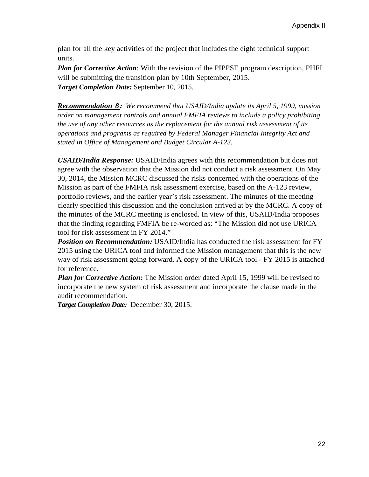plan for all the key activities of the project that includes the eight technical support units.

*Plan for Corrective Action*: With the revision of the PIPPSE program description, PHFI will be submitting the transition plan by 10th September, 2015. *Target Completion Date:* September 10, 2015.

*Recommendation 8: We recommend that USAID/India update its April 5, 1999, mission order on management controls and annual FMFIA reviews to include a policy prohibiting the use of any other resources as the replacement for the annual risk assessment of its operations and programs as required by Federal Manager Financial Integrity Act and stated in Office of Management and Budget Circular A-123.*

*USAID/India Response:* USAID/India agrees with this recommendation but does not agree with the observation that the Mission did not conduct a risk assessment. On May 30, 2014, the Mission MCRC discussed the risks concerned with the operations of the Mission as part of the FMFIA risk assessment exercise, based on the A-123 review, portfolio reviews, and the earlier year's risk assessment. The minutes of the meeting clearly specified this discussion and the conclusion arrived at by the MCRC. A copy of the minutes of the MCRC meeting is enclosed. In view of this, USAID/India proposes that the finding regarding FMFIA be re-worded as: "The Mission did not use URICA tool for risk assessment in FY 2014."

*Position on Recommendation:* USAID/India has conducted the risk assessment for FY 2015 using the URICA tool and informed the Mission management that this is the new way of risk assessment going forward. A copy of the URICA tool - FY 2015 is attached for reference.

*Plan for Corrective Action:* The Mission order dated April 15, 1999 will be revised to incorporate the new system of risk assessment and incorporate the clause made in the audit recommendation.

*Target Completion Date:* December 30, 2015.